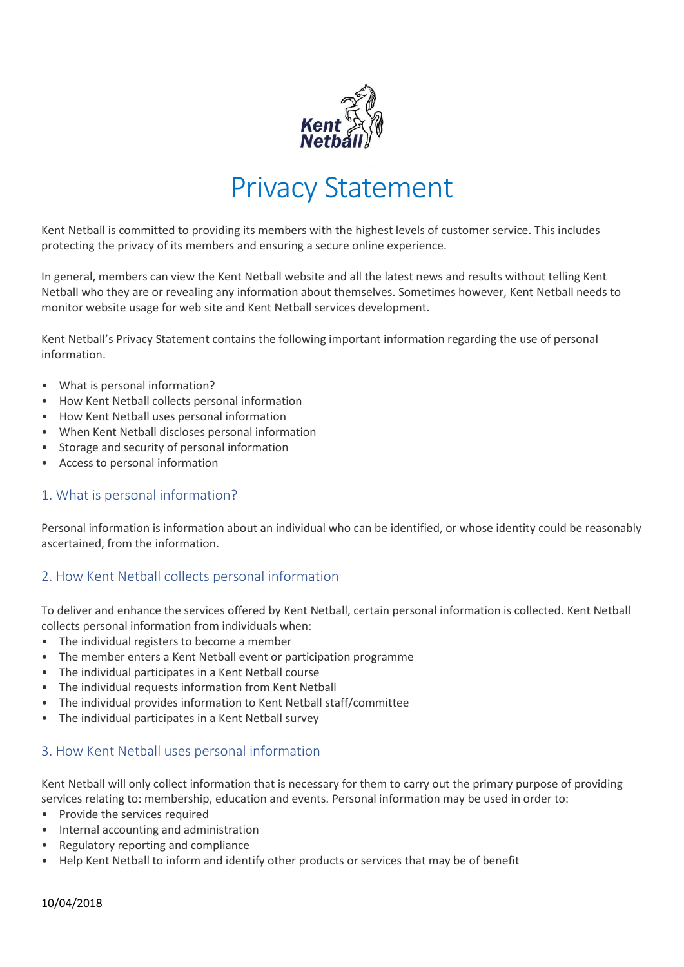

# Privacy Statement

Kent Netball is committed to providing its members with the highest levels of customer service. This includes protecting the privacy of its members and ensuring a secure online experience.

In general, members can view the Kent Netball website and all the latest news and results without telling Kent Netball who they are or revealing any information about themselves. Sometimes however, Kent Netball needs to monitor website usage for web site and Kent Netball services development.

Kent Netball's Privacy Statement contains the following important information regarding the use of personal information.

- What is personal information?
- How Kent Netball collects personal information
- How Kent Netball uses personal information
- When Kent Netball discloses personal information
- Storage and security of personal information
- Access to personal information

# 1. What is personal information?

Personal information is information about an individual who can be identified, or whose identity could be reasonably ascertained, from the information.

# 2. How Kent Netball collects personal information

To deliver and enhance the services offered by Kent Netball, certain personal information is collected. Kent Netball collects personal information from individuals when:

- The individual registers to become a member
- The member enters a Kent Netball event or participation programme
- The individual participates in a Kent Netball course
- The individual requests information from Kent Netball
- The individual provides information to Kent Netball staff/committee
- The individual participates in a Kent Netball survey

# 3. How Kent Netball uses personal information

Kent Netball will only collect information that is necessary for them to carry out the primary purpose of providing services relating to: membership, education and events. Personal information may be used in order to:

- Provide the services required
- Internal accounting and administration
- Regulatory reporting and compliance
- Help Kent Netball to inform and identify other products or services that may be of benefit